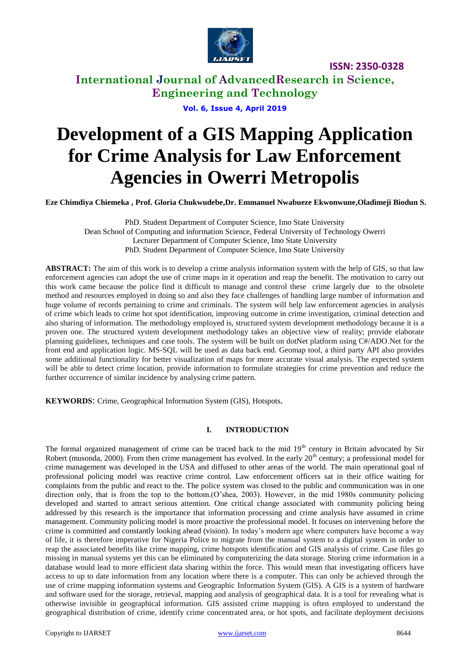

**International Journal of AdvancedResearch in Science, Engineering and Technology**

**Vol. 6, Issue 4, April 2019**

# **Development of a GIS Mapping Application for Crime Analysis for Law Enforcement Agencies in Owerri Metropolis**

**Eze Chimdiya Chiemeka , Prof. Gloria Chukwudebe,Dr. Emmanuel Nwabueze Ekwonwune,Oladimeji Biodun S.**

PhD. Student Department of Computer Science, Imo State University Dean School of Computing and information Science, Federal University of Technology Owerri Lecturer Department of Computer Science, Imo State University PhD. Student Department of Computer Science, Imo State University

**ABSTRACT:** The aim of this work is to develop a crime analysis information system with the help of GIS, so that law enforcement agencies can adopt the use of crime maps in it operation and reap the benefit. The motivation to carry out this work came because the police find it difficult to manage and control these crime largely due to the obsolete method and resources employed in doing so and also they face challenges of handling large number of information and huge volume of records pertaining to crime and criminals. The system will help law enforcement agencies in analysis of crime which leads to crime hot spot identification, improving outcome in crime investigation, criminal detection and also sharing of information. The methodology employed is, structured system development methodology because it is a proven one. The structured system development methodology takes an objective view of reality; provide elaborate planning guidelines, techniques and case tools. The system will be built on dotNet platform using C#/ADO.Net for the front end and application logic. MS-SQL will be used as data back end. Geomap tool, a third party API also provides some additional functionality for better visualization of maps for more accurate visual analysis. The expected system will be able to detect crime location, provide information to formulate strategies for crime prevention and reduce the further occurrence of similar incidence by analysing crime pattern.

**KEYWORDS**: Crime, Geographical Information System (GIS), Hotspots.

## **I. INTRODUCTION**

The formal organized management of crime can be traced back to the mid  $19<sup>th</sup>$  century in Britain advocated by Sir Robert (musonda, 2000). From then crime management has evolved. In the early 20<sup>th</sup> century; a professional model for crime management was developed in the USA and diffused to other areas of the world. The main operational goal of professional policing model was reactive crime control. Law enforcement officers sat in their office waiting for complaints from the public and react to the. The police system was closed to the public and communication was in one direction only, that is from the top to the bottom.(O'shea, 2003). However, in the mid 1980s community policing developed and started to attract serious attention. One critical change associated with community policing being addressed by this research is the importance that information processing and crime analysis have assumed in crime management. Community policing model is more proactive the professional model. It focuses on intervening before the crime is committed and constantly looking ahead (vision). In today's modern age where computers have become a way of life, it is therefore imperative for Nigeria Police to migrate from the manual system to a digital system in order to reap the associated benefits like crime mapping, crime hotspots identification and GIS analysis of crime. Case files go missing in manual systems yet this can be eliminated by computerizing the data storage. Storing crime information in a database would lead to more efficient data sharing within the force. This would mean that investigating officers have access to up to date information from any location where there is a computer. This can only be achieved through the use of crime mapping information systems and Geographic Information System (GIS). A GIS is a system of hardware and software used for the storage, retrieval, mapping and analysis of geographical data. It is a tool for revealing what is otherwise invisible in geographical information. GIS assisted crime mapping is often employed to understand the geographical distribution of crime, identify crime concentrated area, or hot spots, and facilitate deployment decisions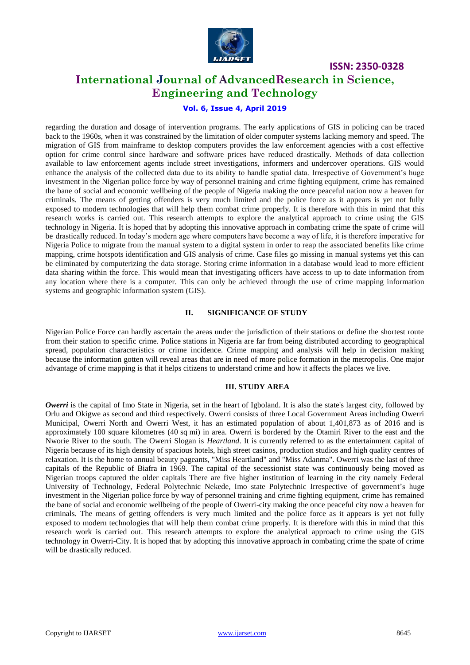

# **International Journal of AdvancedResearch in Science, Engineering and Technology**

# **Vol. 6, Issue 4, April 2019**

regarding the duration and dosage of intervention programs. The early applications of GIS in policing can be traced back to the 1960s, when it was constrained by the limitation of older computer systems lacking memory and speed. The migration of GIS from mainframe to desktop computers provides the law enforcement agencies with a cost effective option for crime control since hardware and software prices have reduced drastically. Methods of data collection available to law enforcement agents include street investigations, informers and undercover operations. GIS would enhance the analysis of the collected data due to its ability to handle spatial data. Irrespective of Government's huge investment in the Nigerian police force by way of personnel training and crime fighting equipment, crime has remained the bane of social and economic wellbeing of the people of Nigeria making the once peaceful nation now a heaven for criminals. The means of getting offenders is very much limited and the police force as it appears is yet not fully exposed to modern technologies that will help them combat crime properly. It is therefore with this in mind that this research works is carried out. This research attempts to explore the analytical approach to crime using the GIS technology in Nigeria. It is hoped that by adopting this innovative approach in combating crime the spate of crime will be drastically reduced. In today's modern age where computers have become a way of life, it is therefore imperative for Nigeria Police to migrate from the manual system to a digital system in order to reap the associated benefits like crime mapping, crime hotspots identification and GIS analysis of crime. Case files go missing in manual systems yet this can be eliminated by computerizing the data storage. Storing crime information in a database would lead to more efficient data sharing within the force. This would mean that investigating officers have access to up to date information from any location where there is a computer. This can only be achieved through the use of crime mapping information systems and geographic information system (GIS).

## **II. SIGNIFICANCE OF STUDY**

Nigerian Police Force can hardly ascertain the areas under the jurisdiction of their stations or define the shortest route from their station to specific crime. Police stations in Nigeria are far from being distributed according to geographical spread, population characteristics or crime incidence. Crime mapping and analysis will help in decision making because the information gotten will reveal areas that are in need of more police formation in the metropolis. One major advantage of crime mapping is that it helps citizens to understand crime and how it affects the places we live.

#### **III. STUDY AREA**

*Owerri* is the capital of Imo State in Nigeria, set in the heart of Igboland. It is also the state's largest city, followed by Orlu and Okigwe as second and third respectively. Owerri consists of three Local Government Areas including Owerri Municipal, Owerri North and Owerri West, it has an estimated population of about 1,401,873 as of 2016 and is approximately 100 square kilometres (40 sq mi) in area. Owerri is bordered by the Otamiri River to the east and the Nworie River to the south. The Owerri Slogan is *Heartland*. It is currently referred to as the entertainment capital of Nigeria because of its high density of spacious hotels, high street casinos, production studios and high quality centres of relaxation. It is the home to annual beauty pageants, "Miss Heartland" and "Miss Adanma". Owerri was the last of three capitals of the Republic of Biafra in 1969. The capital of the secessionist state was continuously being moved as Nigerian troops captured the older capitals There are five higher institution of learning in the city namely Federal University of Technology, Federal Polytechnic Nekede, Imo state Polytechnic Irrespective of government's huge investment in the Nigerian police force by way of personnel training and crime fighting equipment, crime has remained the bane of social and economic wellbeing of the people of Owerri-city making the once peaceful city now a heaven for criminals. The means of getting offenders is very much limited and the police force as it appears is yet not fully exposed to modern technologies that will help them combat crime properly. It is therefore with this in mind that this research work is carried out. This research attempts to explore the analytical approach to crime using the GIS technology in Owerri-City. It is hoped that by adopting this innovative approach in combating crime the spate of crime will be drastically reduced.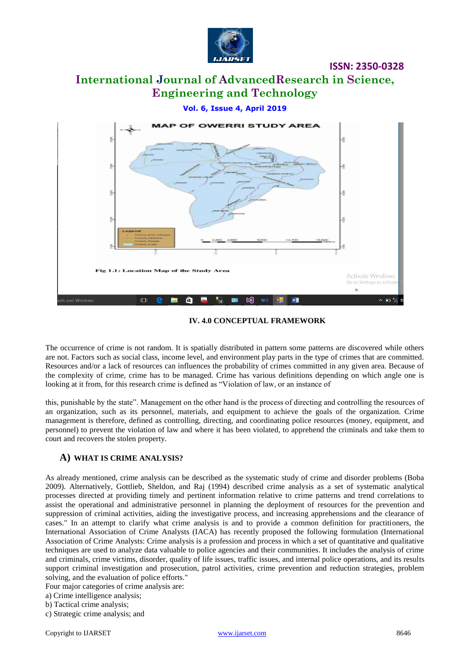

# **International Journal of AdvancedResearch in Science, Engineering and Technology**

#### **Vol. 6, Issue 4, April 2019**



**IV. 4.0 CONCEPTUAL FRAMEWORK**

The occurrence of crime is not random. It is spatially distributed in pattern some patterns are discovered while others are not. Factors such as social class, income level, and environment play parts in the type of crimes that are committed. Resources and/or a lack of resources can influences the probability of crimes committed in any given area. Because of the complexity of crime, crime has to be managed. Crime has various definitions depending on which angle one is looking at it from, for this research crime is defined as "Violation of law, or an instance of

this, punishable by the state". Management on the other hand is the process of directing and controlling the resources of an organization, such as its personnel, materials, and equipment to achieve the goals of the organization. Crime management is therefore, defined as controlling, directing, and coordinating police resources (money, equipment, and personnel) to prevent the violation of law and where it has been violated, to apprehend the criminals and take them to court and recovers the stolen property.

## **A) WHAT IS CRIME ANALYSIS?**

As already mentioned, crime analysis can be described as the systematic study of crime and disorder problems (Boba 2009). Alternatively, Gottlieb, Sheldon, and Raj (1994) described crime analysis as a set of systematic analytical processes directed at providing timely and pertinent information relative to crime patterns and trend correlations to assist the operational and administrative personnel in planning the deployment of resources for the prevention and suppression of criminal activities, aiding the investigative process, and increasing apprehensions and the clearance of cases." In an attempt to clarify what crime analysis is and to provide a common definition for practitioners, the International Association of Crime Analysts (IACA) has recently proposed the following formulation (International Association of Crime Analysts: Crime analysis is a profession and process in which a set of quantitative and qualitative techniques are used to analyze data valuable to police agencies and their communities. It includes the analysis of crime and criminals, crime victims, disorder, quality of life issues, traffic issues, and internal police operations, and its results support criminal investigation and prosecution, patrol activities, crime prevention and reduction strategies, problem solving, and the evaluation of police efforts."

Four major categories of crime analysis are:

a) Crime intelligence analysis;

b) Tactical crime analysis;

c) Strategic crime analysis; and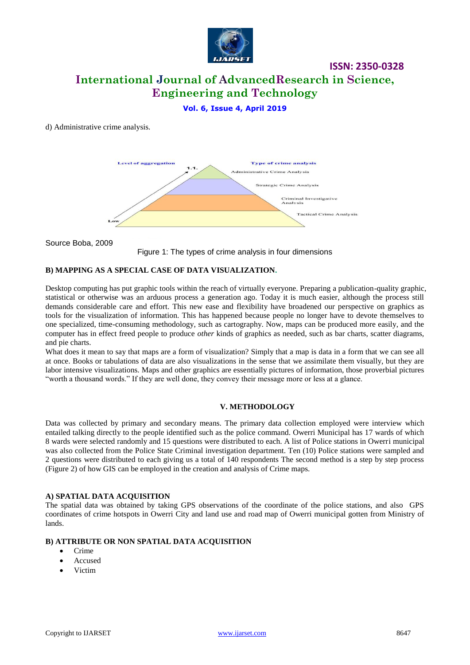

# **International Journal of AdvancedResearch in Science, Engineering and Technology**

# **Vol. 6, Issue 4, April 2019**

#### d) Administrative crime analysis.



Source Boba, 2009



## **B) MAPPING AS A SPECIAL CASE OF DATA VISUALIZATION.**

Desktop computing has put graphic tools within the reach of virtually everyone. Preparing a publication-quality graphic, statistical or otherwise was an arduous process a generation ago. Today it is much easier, although the process still demands considerable care and effort. This new ease and flexibility have broadened our perspective on graphics as tools for the visualization of information. This has happened because people no longer have to devote themselves to one specialized, time-consuming methodology, such as cartography. Now, maps can be produced more easily, and the computer has in effect freed people to produce *other* kinds of graphics as needed, such as bar charts, scatter diagrams, and pie charts.

What does it mean to say that maps are a form of visualization? Simply that a map is data in a form that we can see all at once. Books or tabulations of data are also visualizations in the sense that we assimilate them visually, but they are labor intensive visualizations. Maps and other graphics are essentially pictures of information, those proverbial pictures "worth a thousand words." If they are well done, they convey their message more or less at a glance.

#### **V. METHODOLOGY**

Data was collected by primary and secondary means. The primary data collection employed were interview which entailed talking directly to the people identified such as the police command. Owerri Municipal has 17 wards of which 8 wards were selected randomly and 15 questions were distributed to each. A list of Police stations in Owerri municipal was also collected from the Police State Criminal investigation department. Ten (10) Police stations were sampled and 2 questions were distributed to each giving us a total of 140 respondents The second method is a step by step process (Figure 2) of how GIS can be employed in the creation and analysis of Crime maps.

#### **A) SPATIAL DATA ACQUISITION**

The spatial data was obtained by taking GPS observations of the coordinate of the police stations, and also GPS coordinates of crime hotspots in Owerri City and land use and road map of Owerri municipal gotten from Ministry of lands.

#### **B) ATTRIBUTE OR NON SPATIAL DATA ACQUISITION**

- Crime
- Accused
- Victim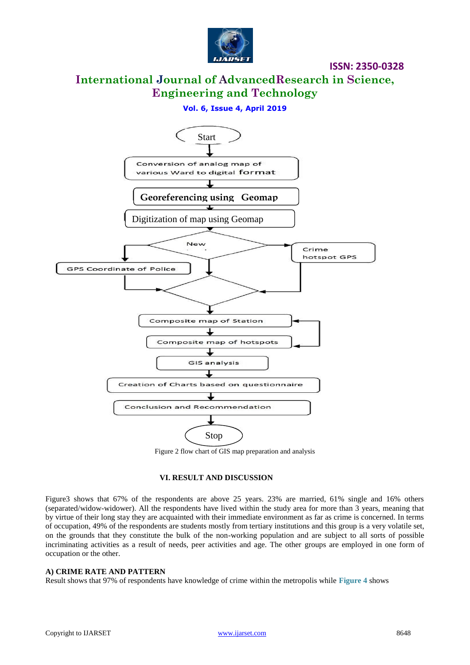

# **International Journal of AdvancedResearch in Science, Engineering and Technology**

## **Vol. 6, Issue 4, April 2019**



Figure 2 flow chart of GIS map preparation and analysis

#### **VI. RESULT AND DISCUSSION**

Figure3 shows that 67% of the respondents are above 25 years. 23% are married, 61% single and 16% others (separated/widow-widower). All the respondents have lived within the study area for more than 3 years, meaning that by virtue of their long stay they are acquainted with their immediate environment as far as crime is concerned. In terms of occupation, 49% of the respondents are students mostly from tertiary institutions and this group is a very volatile set, on the grounds that they constitute the bulk of the non-working population and are subject to all sorts of possible incriminating activities as a result of needs, peer activities and age. The other groups are employed in one form of occupation or the other.

#### **A) CRIME RATE AND PATTERN**

Result shows that 97% of respondents have knowledge of crime within the metropolis while **Figure 4** shows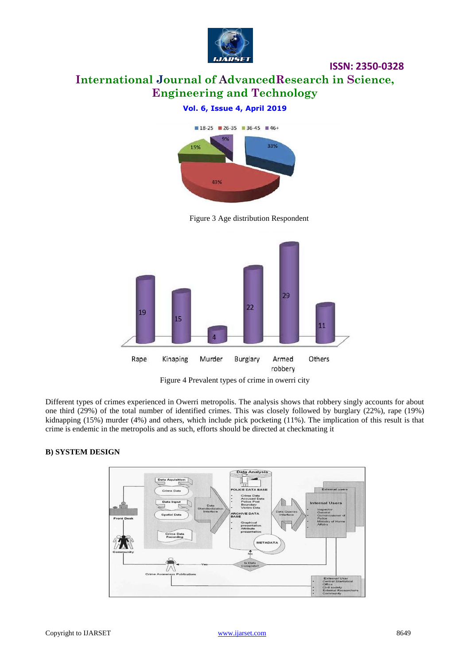

# **International Journal of AdvancedResearch in Science, Engineering and Technology**

**ISSN: 2350-0328**

# **Vol. 6, Issue 4, April 2019**



Figure 3 Age distribution Respondent



Figure 4 Prevalent types of crime in owerri city

Different types of crimes experienced in Owerri metropolis. The analysis shows that robbery singly accounts for about one third (29%) of the total number of identified crimes. This was closely followed by burglary (22%), rape (19%) kidnapping (15%) murder (4%) and others, which include pick pocketing (11%). The implication of this result is that crime is endemic in the metropolis and as such, efforts should be directed at checkmating it

## **B) SYSTEM DESIGN**

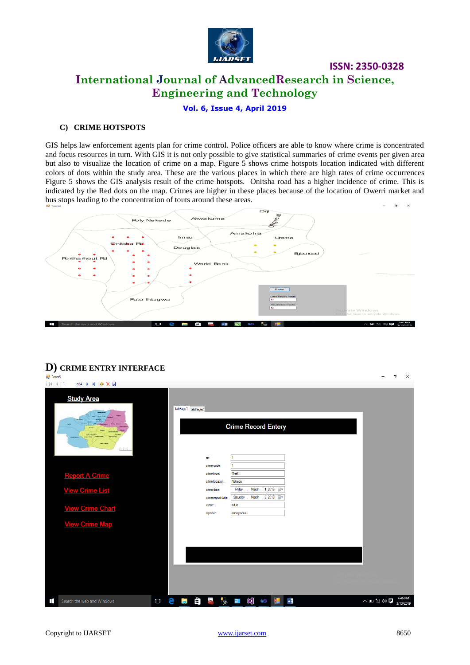

**ISSN: 2350-0328 International Journal of AdvancedResearch in Science,** 

**Engineering and Technology**

**Vol. 6, Issue 4, April 2019**

#### **C) CRIME HOTSPOTS**

GIS helps law enforcement agents plan for crime control. Police officers are able to know where crime is concentrated and focus resources in turn. With GIS it is not only possible to give statistical summaries of crime events per given area but also to visualize the location of crime on a map. Figure 5 shows crime hotspots location indicated with different colors of dots within the study area. These are the various places in which there are high rates of crime occurrences Figure 5 shows the GIS analysis result of the crime hotspots. Onitsha road has a higher incidence of crime. This is indicated by the Red dots on the map. Crimes are higher in these places because of the location of Owerri market and bus stops leading to the concentration of touts around these areas.



# **D) CRIME ENTRY INTERFACE**

| $\overline{\phantom{a}}$<br><sup>e</sup> Form5 |                            |        |   |    |                   |                    |              |                         |              |                          |                            |   |  |             | $\Box$ | X                    |
|------------------------------------------------|----------------------------|--------|---|----|-------------------|--------------------|--------------|-------------------------|--------------|--------------------------|----------------------------|---|--|-------------|--------|----------------------|
| $ N $ $ 1$                                     | of4 ▶ 비 수 X 品              |        |   |    |                   |                    |              |                         |              |                          |                            |   |  |             |        |                      |
|                                                | <b>Study Area</b><br>1.7.1 |        |   |    | tabPage1 tabPage2 |                    |              |                         |              |                          | <b>Crime Record Entery</b> |   |  |             |        |                      |
|                                                |                            |        |   |    |                   | sn:                |              |                         |              |                          |                            |   |  |             |        |                      |
|                                                |                            |        |   |    |                   | crime code:        |              | 1                       |              |                          |                            |   |  |             |        |                      |
|                                                | <b>Report A Crime</b>      |        |   |    |                   | crime type:        |              | Theft                   |              |                          |                            |   |  |             |        |                      |
|                                                |                            |        |   |    |                   | crime location:    |              | Nekede                  |              |                          |                            |   |  |             |        |                      |
|                                                | <b>View Crime List</b>     |        |   |    |                   | crime date:        |              | Friday                  | March        |                          | 1,2019                     |   |  |             |        |                      |
|                                                |                            |        |   |    |                   | crime report date: |              |                         |              | Saturday , March 2, 2019 |                            |   |  |             |        |                      |
|                                                | <b>View Crime Chart</b>    |        |   |    |                   | victim:            |              | adult                   |              |                          |                            |   |  |             |        |                      |
|                                                |                            |        |   |    |                   | reporter:          |              | anonymous               |              |                          |                            |   |  |             |        |                      |
|                                                | <b>View Crime Map</b>      |        |   |    |                   |                    |              |                         |              |                          |                            |   |  |             |        |                      |
|                                                |                            |        |   |    |                   |                    |              |                         |              |                          |                            |   |  |             |        |                      |
|                                                |                            |        |   |    |                   |                    |              |                         |              |                          |                            |   |  |             |        |                      |
|                                                |                            |        |   |    |                   |                    |              |                         |              |                          |                            |   |  |             |        |                      |
|                                                |                            |        |   |    |                   |                    |              |                         |              |                          |                            |   |  |             |        |                      |
|                                                |                            |        |   |    |                   |                    |              |                         |              |                          |                            |   |  |             |        |                      |
|                                                |                            |        |   |    |                   |                    |              |                         |              |                          |                            |   |  |             |        |                      |
|                                                |                            |        |   |    |                   |                    |              |                         |              |                          |                            |   |  |             |        |                      |
|                                                |                            |        |   |    |                   |                    |              |                         |              |                          |                            |   |  |             |        |                      |
| Ŧ                                              | Search the web and Windows | $\Box$ | e | Ĩ. | Ô                 | W                  | $\mathbf{z}$ | $\overline{\mathbf{e}}$ | $\mathbb{R}$ | $\bullet$                | ¢.                         | w |  | ヘ □ 係 (4) 厚 |        | 4:46 PM<br>3/13/2019 |